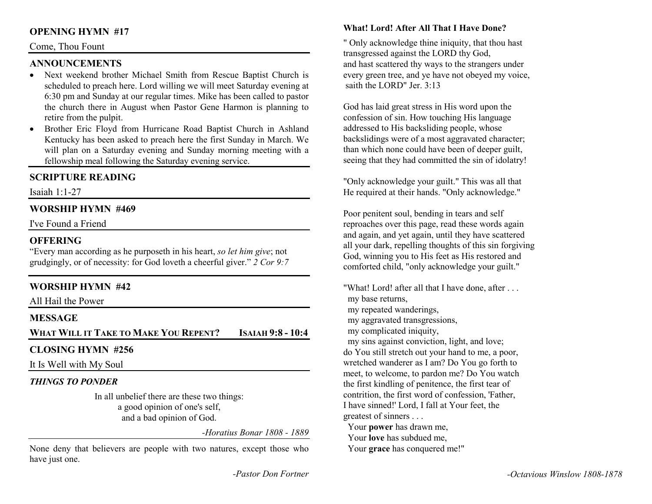# **OPENING HYMN #17**

#### Come, Thou Fount

## **ANNOUNCEMENTS**

- Next weekend brother Michael Smith from Rescue Baptist Church is •scheduled to preach here. Lord willing we will meet Saturday evening at 6:30 pm and Sunday at our regular times. Mike has been called to pastor the church there in August when Pastor Gene Harmon is planning to retire from the pulpit.
- Brother Eric Floyd from Hurricane Road Baptist Church in Ashland •Kentucky has been asked to preach here the first Sunday in March. We will plan on a Saturday evening and Sunday morning meeting with a fellowship meal following the Saturday evening service.

## **SCRIPTURE READING**

Isaiah 1:1-27

#### **WORSHIP HYMN #469**

I've Found a Friend

#### **OFFERING**

 "Every man according as he purposeth in his heart, *so let him give*; not grudgingly, or of necessity: for God loveth a cheerful giver." *2 Cor 9:7*

## **WORSHIP HYMN #42**

All Hail the Power

## **MESSAGE**

**WHAT WILL IT TAKE TO MAKE YOU REPENT? ISAIAH 9:8 - 10:4** 

# **CLOSING HYMN #256**

It Is Well with My Soul

#### *THINGS TO PONDER*

 In all unbelief there are these two things: a good opinion of one's self, and a bad opinion of God.

*-Horatius Bonar 1808 - 1889* 

None deny that believers are people with two natures, except those who have just one.

#### **What! Lord! After All That I Have Done?**

" Only acknowledge thine iniquity, that thou hast transgressed against the LORD thy God, and hast scattered thy ways to the strangers under every green tree, and ye have not obeyed my voice, saith the LORD" Jer. 3:13

God has laid great stress in His word upon the confession of sin. How touching His language addressed to His backsliding people, whose backslidings were of a most aggravated character; than which none could have been of deeper guilt, seeing that they had committed the sin of idolatry!

"Only acknowledge your guilt." This was all that He required at their hands. "Only acknowledge."

Poor penitent soul, bending in tears and self reproaches over this page, read these words again and again, and yet again, until they have scattered all your dark, repelling thoughts of this sin forgiving God, winning you to His feet as His restored and comforted child, "only acknowledge your guilt."

"What! Lord! after all that I have done, after . . . my base returns, my repeated wanderings, my aggravated transgressions, my complicated iniquity, my sins against conviction, light, and love; do You still stretch out your hand to me, a poor, wretched wanderer as I am? Do You go forth to meet, to welcome, to pardon me? Do You watch the first kindling of penitence, the first tear of contrition, the first word of confession, 'Father, I have sinned!' Lord, I fall at Your feet, the greatest of sinners . . . Your **power** has drawn me, Your **love** has subdued me,

Your **grace** has conquered me!"